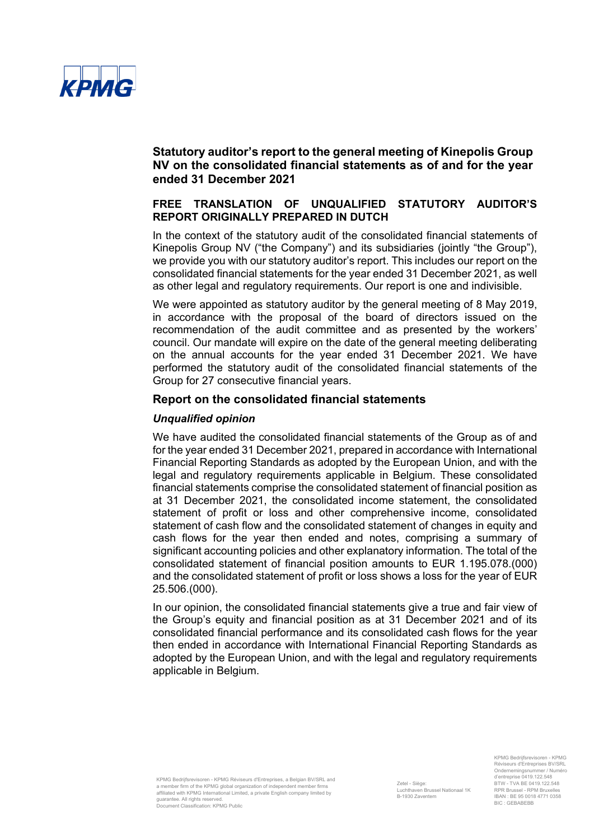

## **FREE TRANSLATION OF UNQUALIFIED STATUTORY AUDITOR'S REPORT ORIGINALLY PREPARED IN DUTCH**

In the context of the statutory audit of the consolidated financial statements of Kinepolis Group NV ("the Company") and its subsidiaries (jointly "the Group"), we provide you with our statutory auditor's report. This includes our report on the consolidated financial statements for the year ended 31 December 2021, as well as other legal and regulatory requirements. Our report is one and indivisible.

We were appointed as statutory auditor by the general meeting of 8 May 2019, in accordance with the proposal of the board of directors issued on the recommendation of the audit committee and as presented by the workers' council. Our mandate will expire on the date of the general meeting deliberating on the annual accounts for the year ended 31 December 2021. We have performed the statutory audit of the consolidated financial statements of the Group for 27 consecutive financial years.

#### **Report on the consolidated financial statements**

### *Unqualified opinion*

We have audited the consolidated financial statements of the Group as of and for the year ended 31 December 2021, prepared in accordance with International Financial Reporting Standards as adopted by the European Union, and with the legal and regulatory requirements applicable in Belgium. These consolidated financial statements comprise the consolidated statement of financial position as at 31 December 2021, the consolidated income statement, the consolidated statement of profit or loss and other comprehensive income, consolidated statement of cash flow and the consolidated statement of changes in equity and cash flows for the year then ended and notes, comprising a summary of significant accounting policies and other explanatory information. The total of the consolidated statement of financial position amounts to EUR 1.195.078.(000) and the consolidated statement of profit or loss shows a loss for the year of EUR 25.506.(000).

In our opinion, the consolidated financial statements give a true and fair view of the Group's equity and financial position as at 31 December 2021 and of its consolidated financial performance and its consolidated cash flows for the year then ended in accordance with International Financial Reporting Standards as adopted by the European Union, and with the legal and regulatory requirements applicable in Belgium.

KPMG Bedrijfsrevisoren - KPMG Réviseurs d'Entreprises BV/SRL Ondernemingsnummer / Numéro d'entreprise 0419.122.548 BTW - TVA BE 0419.122.548 RPR Brussel - RPM Bruxelles IBAN : BE 95 0018 4771 0358 BIC : GEBABEBB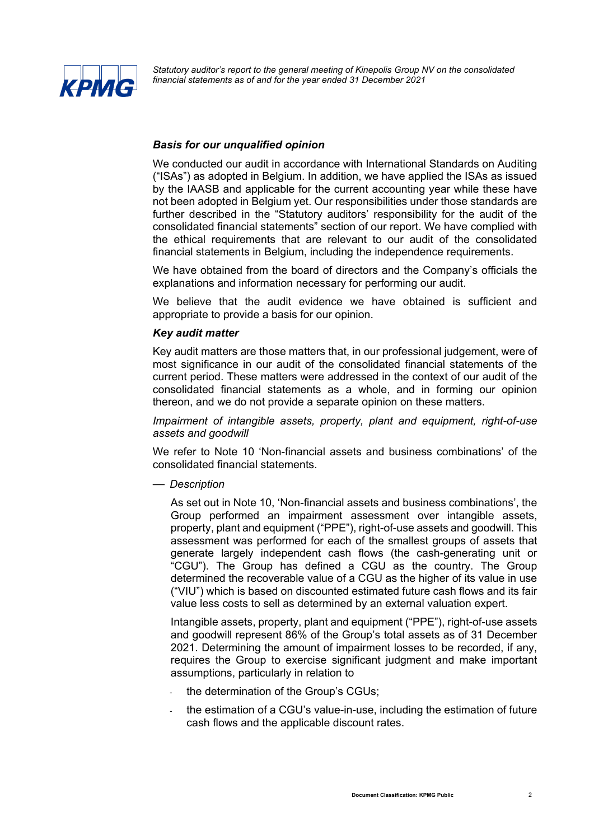

### *Basis for our unqualified opinion*

We conducted our audit in accordance with International Standards on Auditing ("ISAs") as adopted in Belgium. In addition, we have applied the ISAs as issued by the IAASB and applicable for the current accounting year while these have not been adopted in Belgium yet. Our responsibilities under those standards are further described in the "Statutory auditors' responsibility for the audit of the consolidated financial statements" section of our report. We have complied with the ethical requirements that are relevant to our audit of the consolidated financial statements in Belgium, including the independence requirements.

We have obtained from the board of directors and the Company's officials the explanations and information necessary for performing our audit.

We believe that the audit evidence we have obtained is sufficient and appropriate to provide a basis for our opinion.

### *Key audit matter*

Key audit matters are those matters that, in our professional judgement, were of most significance in our audit of the consolidated financial statements of the current period. These matters were addressed in the context of our audit of the consolidated financial statements as a whole, and in forming our opinion thereon, and we do not provide a separate opinion on these matters.

*Impairment of intangible assets, property, plant and equipment, right-of-use assets and goodwill*

We refer to Note 10 'Non-financial assets and business combinations' of the consolidated financial statements.

— *Description*

As set out in Note 10, 'Non-financial assets and business combinations', the Group performed an impairment assessment over intangible assets, property, plant and equipment ("PPE"), right-of-use assets and goodwill. This assessment was performed for each of the smallest groups of assets that generate largely independent cash flows (the cash-generating unit or "CGU"). The Group has defined a CGU as the country. The Group determined the recoverable value of a CGU as the higher of its value in use ("VIU") which is based on discounted estimated future cash flows and its fair value less costs to sell as determined by an external valuation expert.

Intangible assets, property, plant and equipment ("PPE"), right-of-use assets and goodwill represent 86% of the Group's total assets as of 31 December 2021. Determining the amount of impairment losses to be recorded, if any, requires the Group to exercise significant judgment and make important assumptions, particularly in relation to

- the determination of the Group's CGUs;
- the estimation of a CGU's value-in-use, including the estimation of future cash flows and the applicable discount rates.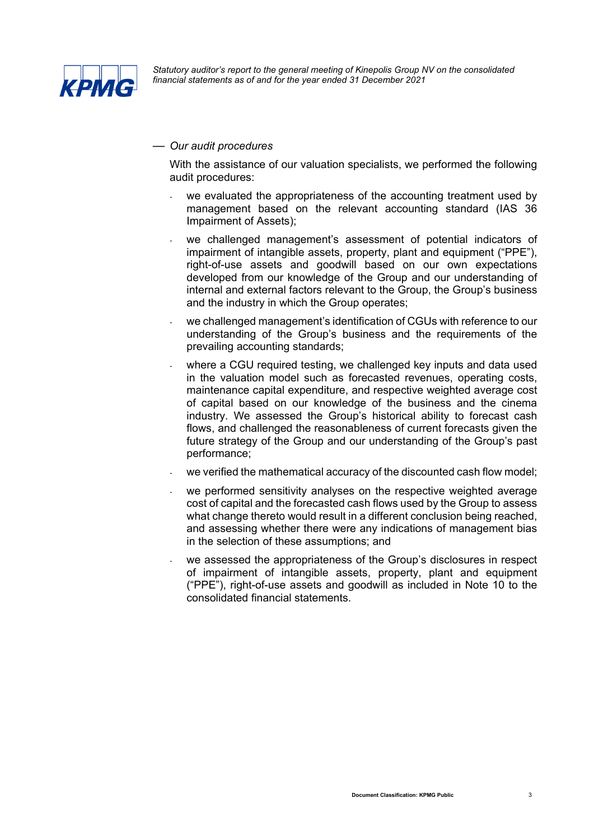

### — *Our audit procedures*

With the assistance of our valuation specialists, we performed the following audit procedures:

- we evaluated the appropriateness of the accounting treatment used by management based on the relevant accounting standard (IAS 36 Impairment of Assets);
- we challenged management's assessment of potential indicators of impairment of intangible assets, property, plant and equipment ("PPE"), right-of-use assets and goodwill based on our own expectations developed from our knowledge of the Group and our understanding of internal and external factors relevant to the Group, the Group's business and the industry in which the Group operates;
- we challenged management's identification of CGUs with reference to our understanding of the Group's business and the requirements of the prevailing accounting standards;
- where a CGU required testing, we challenged key inputs and data used in the valuation model such as forecasted revenues, operating costs, maintenance capital expenditure, and respective weighted average cost of capital based on our knowledge of the business and the cinema industry. We assessed the Group's historical ability to forecast cash flows, and challenged the reasonableness of current forecasts given the future strategy of the Group and our understanding of the Group's past performance;
- we verified the mathematical accuracy of the discounted cash flow model;
- we performed sensitivity analyses on the respective weighted average cost of capital and the forecasted cash flows used by the Group to assess what change thereto would result in a different conclusion being reached, and assessing whether there were any indications of management bias in the selection of these assumptions; and
- we assessed the appropriateness of the Group's disclosures in respect of impairment of intangible assets, property, plant and equipment ("PPE"), right-of-use assets and goodwill as included in Note 10 to the consolidated financial statements.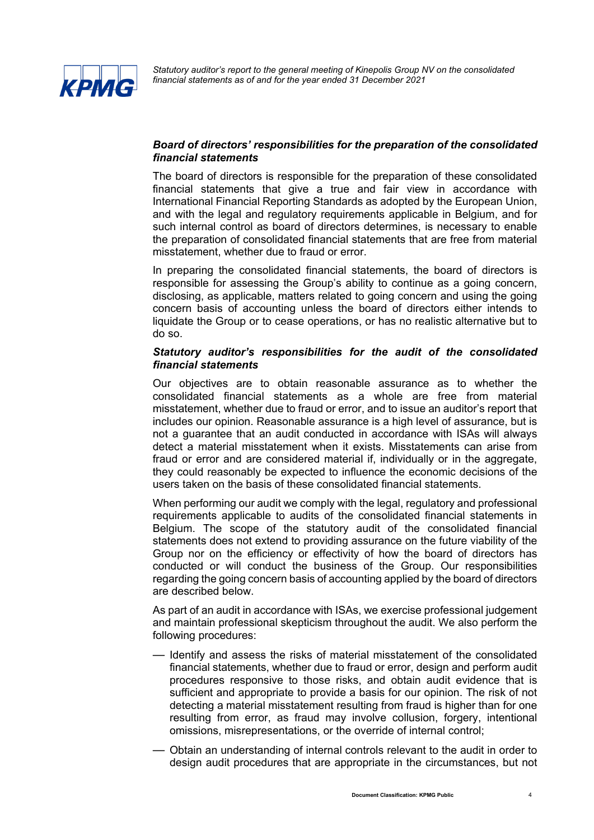

## *Board of directors' responsibilities for the preparation of the consolidated financial statements*

The board of directors is responsible for the preparation of these consolidated financial statements that give a true and fair view in accordance with International Financial Reporting Standards as adopted by the European Union, and with the legal and regulatory requirements applicable in Belgium, and for such internal control as board of directors determines, is necessary to enable the preparation of consolidated financial statements that are free from material misstatement, whether due to fraud or error.

In preparing the consolidated financial statements, the board of directors is responsible for assessing the Group's ability to continue as a going concern, disclosing, as applicable, matters related to going concern and using the going concern basis of accounting unless the board of directors either intends to liquidate the Group or to cease operations, or has no realistic alternative but to do so.

### *Statutory auditor's responsibilities for the audit of the consolidated financial statements*

Our objectives are to obtain reasonable assurance as to whether the consolidated financial statements as a whole are free from material misstatement, whether due to fraud or error, and to issue an auditor's report that includes our opinion. Reasonable assurance is a high level of assurance, but is not a guarantee that an audit conducted in accordance with ISAs will always detect a material misstatement when it exists. Misstatements can arise from fraud or error and are considered material if, individually or in the aggregate, they could reasonably be expected to influence the economic decisions of the users taken on the basis of these consolidated financial statements.

When performing our audit we comply with the legal, regulatory and professional requirements applicable to audits of the consolidated financial statements in Belgium. The scope of the statutory audit of the consolidated financial statements does not extend to providing assurance on the future viability of the Group nor on the efficiency or effectivity of how the board of directors has conducted or will conduct the business of the Group. Our responsibilities regarding the going concern basis of accounting applied by the board of directors are described below.

As part of an audit in accordance with ISAs, we exercise professional judgement and maintain professional skepticism throughout the audit. We also perform the following procedures:

- Identify and assess the risks of material misstatement of the consolidated financial statements, whether due to fraud or error, design and perform audit procedures responsive to those risks, and obtain audit evidence that is sufficient and appropriate to provide a basis for our opinion. The risk of not detecting a material misstatement resulting from fraud is higher than for one resulting from error, as fraud may involve collusion, forgery, intentional omissions, misrepresentations, or the override of internal control;
- Obtain an understanding of internal controls relevant to the audit in order to design audit procedures that are appropriate in the circumstances, but not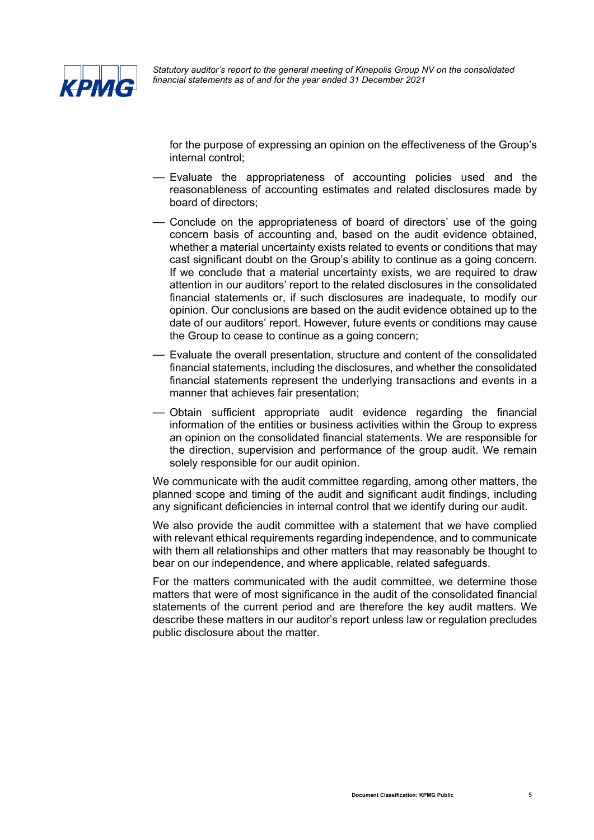

for the purpose of expressing an opinion on the effectiveness of the Group's internal control;

- Evaluate the appropriateness of accounting policies used and the reasonableness of accounting estimates and related disclosures made by board of directors;
- Conclude on the appropriateness of board of directors' use of the going concern basis of accounting and, based on the audit evidence obtained, whether a material uncertainty exists related to events or conditions that may cast significant doubt on the Group's ability to continue as a going concern. If we conclude that a material uncertainty exists, we are required to draw attention in our auditors' report to the related disclosures in the consolidated financial statements or, if such disclosures are inadequate, to modify our opinion. Our conclusions are based on the audit evidence obtained up to the date of our auditors' report. However, future events or conditions may cause the Group to cease to continue as a going concern;
- Evaluate the overall presentation, structure and content of the consolidated financial statements, including the disclosures, and whether the consolidated financial statements represent the underlying transactions and events in a manner that achieves fair presentation;
- Obtain sufficient appropriate audit evidence regarding the financial information of the entities or business activities within the Group to express an opinion on the consolidated financial statements. We are responsible for the direction, supervision and performance of the group audit. We remain solely responsible for our audit opinion.

We communicate with the audit committee regarding, among other matters, the planned scope and timing of the audit and significant audit findings, including any significant deficiencies in internal control that we identify during our audit.

We also provide the audit committee with a statement that we have complied with relevant ethical requirements regarding independence, and to communicate with them all relationships and other matters that may reasonably be thought to bear on our independence, and where applicable, related safeguards.

For the matters communicated with the audit committee, we determine those matters that were of most significance in the audit of the consolidated financial statements of the current period and are therefore the key audit matters. We describe these matters in our auditor's report unless law or regulation precludes public disclosure about the matter.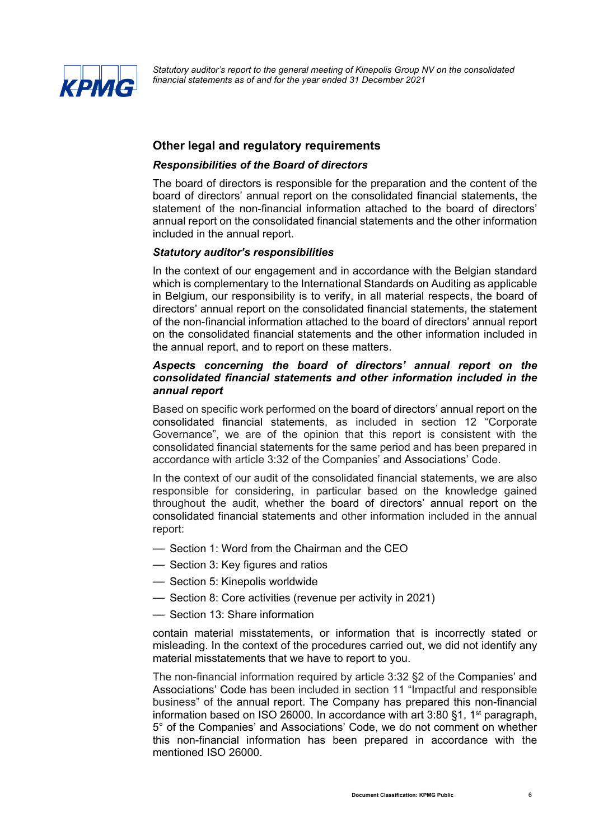

## **Other legal and regulatory requirements**

#### *Responsibilities of the Board of directors*

The board of directors is responsible for the preparation and the content of the board of directors' annual report on the consolidated financial statements, the statement of the non-financial information attached to the board of directors' annual report on the consolidated financial statements and the other information included in the annual report.

### *Statutory auditor's responsibilities*

In the context of our engagement and in accordance with the Belgian standard which is complementary to the International Standards on Auditing as applicable in Belgium, our responsibility is to verify, in all material respects, the board of directors' annual report on the consolidated financial statements, the statement of the non-financial information attached to the board of directors' annual report on the consolidated financial statements and the other information included in the annual report, and to report on these matters.

### *Aspects concerning the board of directors' annual report on the consolidated financial statements and other information included in the annual report*

Based on specific work performed on the board of directors' annual report on the consolidated financial statements, as included in section 12 "Corporate Governance", we are of the opinion that this report is consistent with the consolidated financial statements for the same period and has been prepared in accordance with article 3:32 of the Companies' and Associations' Code.

In the context of our audit of the consolidated financial statements, we are also responsible for considering, in particular based on the knowledge gained throughout the audit, whether the board of directors' annual report on the consolidated financial statements and other information included in the annual report:

- Section 1: Word from the Chairman and the CEO
- Section 3: Key figures and ratios
- Section 5: Kinepolis worldwide
- Section 8: Core activities (revenue per activity in 2021)
- Section 13: Share information

contain material misstatements, or information that is incorrectly stated or misleading. In the context of the procedures carried out, we did not identify any material misstatements that we have to report to you.

The non-financial information required by article 3:32 §2 of the Companies' and Associations' Code has been included in section 11 "Impactful and responsible business" of the annual report. The Company has prepared this non-financial information based on ISO 26000. In accordance with art  $3:80$  §1, 1<sup>st</sup> paragraph, 5° of the Companies' and Associations' Code, we do not comment on whether this non-financial information has been prepared in accordance with the mentioned ISO 26000.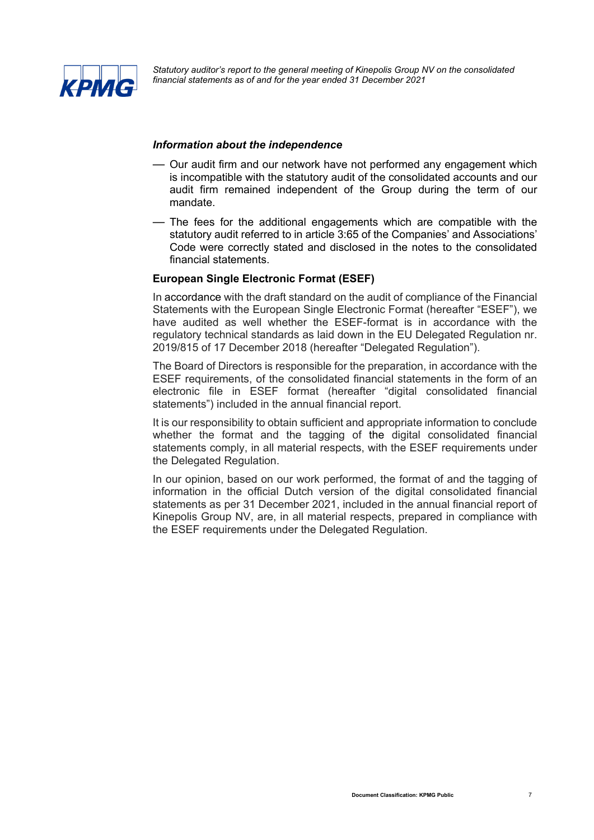

#### *Information about the independence*

- Our audit firm and our network have not performed any engagement which is incompatible with the statutory audit of the consolidated accounts and our audit firm remained independent of the Group during the term of our mandate.
- The fees for the additional engagements which are compatible with the statutory audit referred to in article 3:65 of the Companies' and Associations' Code were correctly stated and disclosed in the notes to the consolidated financial statements.

## **European Single Electronic Format (ESEF)**

In accordance with the draft standard on the audit of compliance of the Financial Statements with the European Single Electronic Format (hereafter "ESEF"), we have audited as well whether the ESEF-format is in accordance with the regulatory technical standards as laid down in the EU Delegated Regulation nr. 2019/815 of 17 December 2018 (hereafter "Delegated Regulation").

The Board of Directors is responsible for the preparation, in accordance with the ESEF requirements, of the consolidated financial statements in the form of an electronic file in ESEF format (hereafter "digital consolidated financial statements") included in the annual financial report.

It is our responsibility to obtain sufficient and appropriate information to conclude whether the format and the tagging of the digital consolidated financial statements comply, in all material respects, with the ESEF requirements under the Delegated Regulation.

In our opinion, based on our work performed, the format of and the tagging of information in the official Dutch version of the digital consolidated financial statements as per 31 December 2021, included in the annual financial report of Kinepolis Group NV, are, in all material respects, prepared in compliance with the ESEF requirements under the Delegated Regulation.